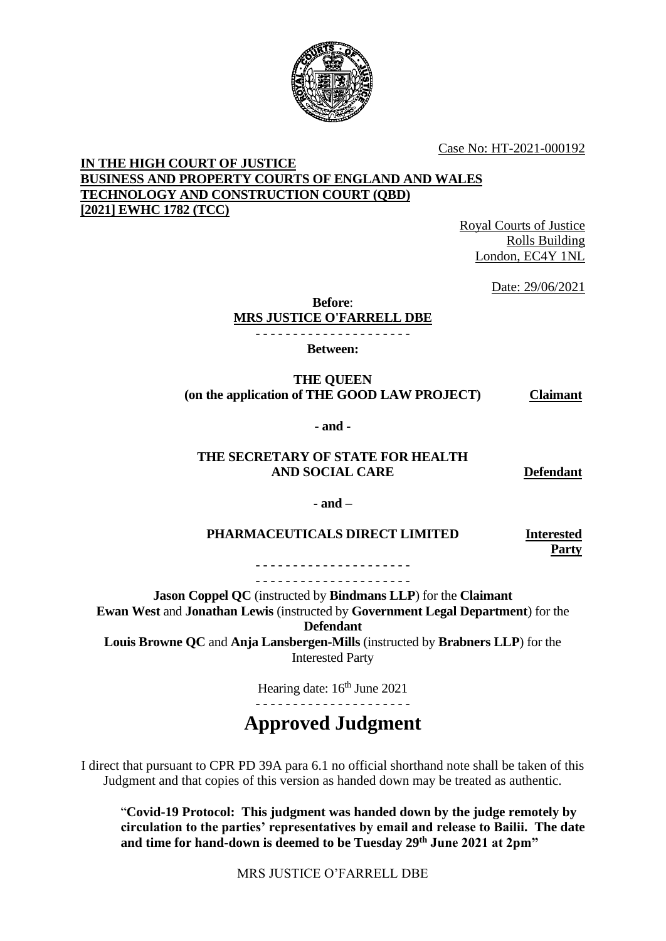

Case No: HT-2021-000192

#### **IN THE HIGH COURT OF JUSTICE BUSINESS AND PROPERTY COURTS OF ENGLAND AND WALES TECHNOLOGY AND CONSTRUCTION COURT (QBD) [2021] EWHC 1782 (TCC)**

Royal Courts of Justice Rolls Building London, EC4Y 1NL

Date: 29/06/2021

**Before**:

**MRS JUSTICE O'FARRELL DBE** - - - - - - - - - - - - - - - - - - - - -

**Between:**

**THE QUEEN (on the application of THE GOOD LAW PROJECT) Claimant**

**- and -**

#### **THE SECRETARY OF STATE FOR HEALTH AND SOCIAL CARE**

**Defendant**

**- and –**

#### **PHARMACEUTICALS DIRECT LIMITED Interested**

**Party**

- - - - - - - - - - - - - - - - - - - - - - - - - - - - - - - - - - - - - - - - - -

**Jason Coppel QC** (instructed by **Bindmans LLP**) for the **Claimant Ewan West** and **Jonathan Lewis** (instructed by **Government Legal Department**) for the **Defendant Louis Browne QC** and **Anja Lansbergen-Mills** (instructed by **Brabners LLP**) for the

Interested Party

Hearing date: 16<sup>th</sup> June 2021 - - - - - - - - - - - - - - - - - - - - -

# **Approved Judgment**

I direct that pursuant to CPR PD 39A para 6.1 no official shorthand note shall be taken of this Judgment and that copies of this version as handed down may be treated as authentic.

"**Covid-19 Protocol: This judgment was handed down by the judge remotely by circulation to the parties' representatives by email and release to Bailii. The date and time for hand-down is deemed to be Tuesday 29th June 2021 at 2pm"**

MRS JUSTICE O'FARRELL DBE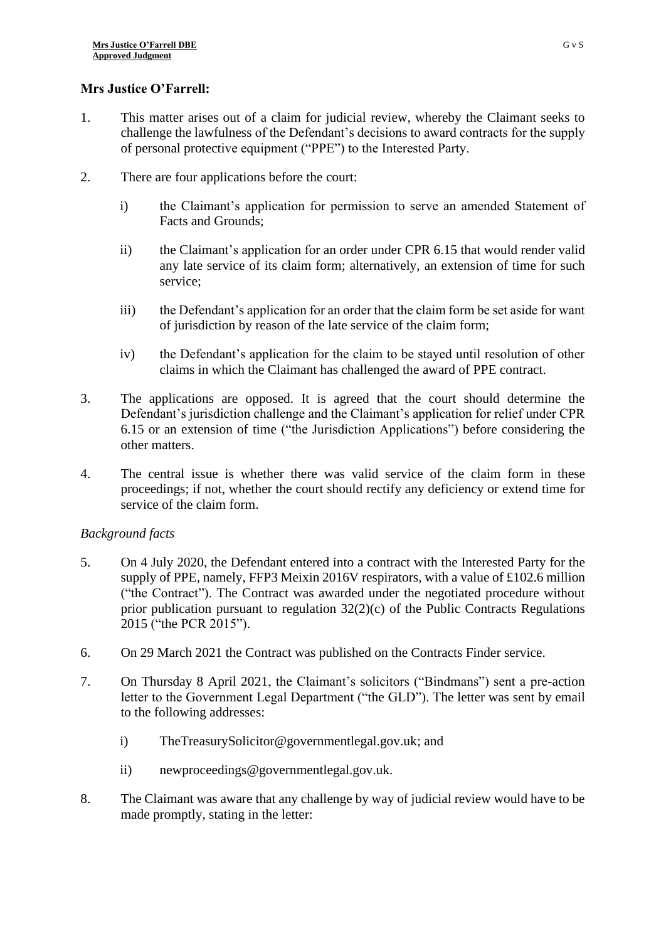# **Mrs Justice O'Farrell:**

- 1. This matter arises out of a claim for judicial review, whereby the Claimant seeks to challenge the lawfulness of the Defendant's decisions to award contracts for the supply of personal protective equipment ("PPE") to the Interested Party.
- 2. There are four applications before the court:
	- i) the Claimant's application for permission to serve an amended Statement of Facts and Grounds;
	- ii) the Claimant's application for an order under CPR 6.15 that would render valid any late service of its claim form; alternatively, an extension of time for such service;
	- iii) the Defendant's application for an order that the claim form be set aside for want of jurisdiction by reason of the late service of the claim form;
	- iv) the Defendant's application for the claim to be stayed until resolution of other claims in which the Claimant has challenged the award of PPE contract.
- 3. The applications are opposed. It is agreed that the court should determine the Defendant's jurisdiction challenge and the Claimant's application for relief under CPR 6.15 or an extension of time ("the Jurisdiction Applications") before considering the other matters.
- 4. The central issue is whether there was valid service of the claim form in these proceedings; if not, whether the court should rectify any deficiency or extend time for service of the claim form.

# *Background facts*

- 5. On 4 July 2020, the Defendant entered into a contract with the Interested Party for the supply of PPE, namely, FFP3 Meixin 2016V respirators, with a value of £102.6 million ("the Contract"). The Contract was awarded under the negotiated procedure without prior publication pursuant to regulation  $32(2)(c)$  of the Public Contracts Regulations 2015 ("the PCR 2015").
- 6. On 29 March 2021 the Contract was published on the Contracts Finder service.
- 7. On Thursday 8 April 2021, the Claimant's solicitors ("Bindmans") sent a pre-action letter to the Government Legal Department ("the GLD"). The letter was sent by email to the following addresses:
	- i) [TheTreasurySolicitor@governmentlegal.gov.uk;](mailto:TheTreasurySolicitor@governmentlegal.gov.uk) and
	- ii) newproceedings@governmentlegal.gov.uk.
- 8. The Claimant was aware that any challenge by way of judicial review would have to be made promptly, stating in the letter: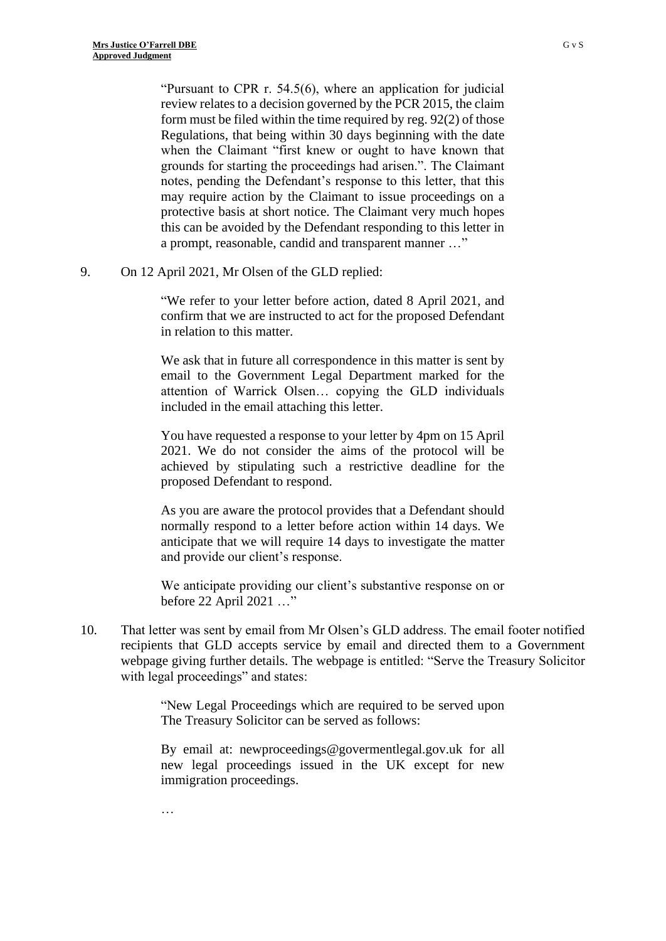…

"Pursuant to CPR r. 54.5(6), where an application for judicial review relates to a decision governed by the PCR 2015, the claim form must be filed within the time required by reg. 92(2) of those Regulations, that being within 30 days beginning with the date when the Claimant "first knew or ought to have known that grounds for starting the proceedings had arisen.". The Claimant notes, pending the Defendant's response to this letter, that this may require action by the Claimant to issue proceedings on a protective basis at short notice. The Claimant very much hopes this can be avoided by the Defendant responding to this letter in a prompt, reasonable, candid and transparent manner …"

#### 9. On 12 April 2021, Mr Olsen of the GLD replied:

"We refer to your letter before action, dated 8 April 2021, and confirm that we are instructed to act for the proposed Defendant in relation to this matter.

We ask that in future all correspondence in this matter is sent by email to the Government Legal Department marked for the attention of Warrick Olsen… copying the GLD individuals included in the email attaching this letter.

You have requested a response to your letter by 4pm on 15 April 2021. We do not consider the aims of the protocol will be achieved by stipulating such a restrictive deadline for the proposed Defendant to respond.

As you are aware the protocol provides that a Defendant should normally respond to a letter before action within 14 days. We anticipate that we will require 14 days to investigate the matter and provide our client's response.

We anticipate providing our client's substantive response on or before 22 April 2021 …"

10. That letter was sent by email from Mr Olsen's GLD address. The email footer notified recipients that GLD accepts service by email and directed them to a Government webpage giving further details. The webpage is entitled: "Serve the Treasury Solicitor with legal proceedings" and states:

> "New Legal Proceedings which are required to be served upon The Treasury Solicitor can be served as follows:

> By email at: [newproceedings@govermentlegal.gov.uk](mailto:newproceedings@govermentlegal.gov.uk) for all new legal proceedings issued in the UK except for new immigration proceedings.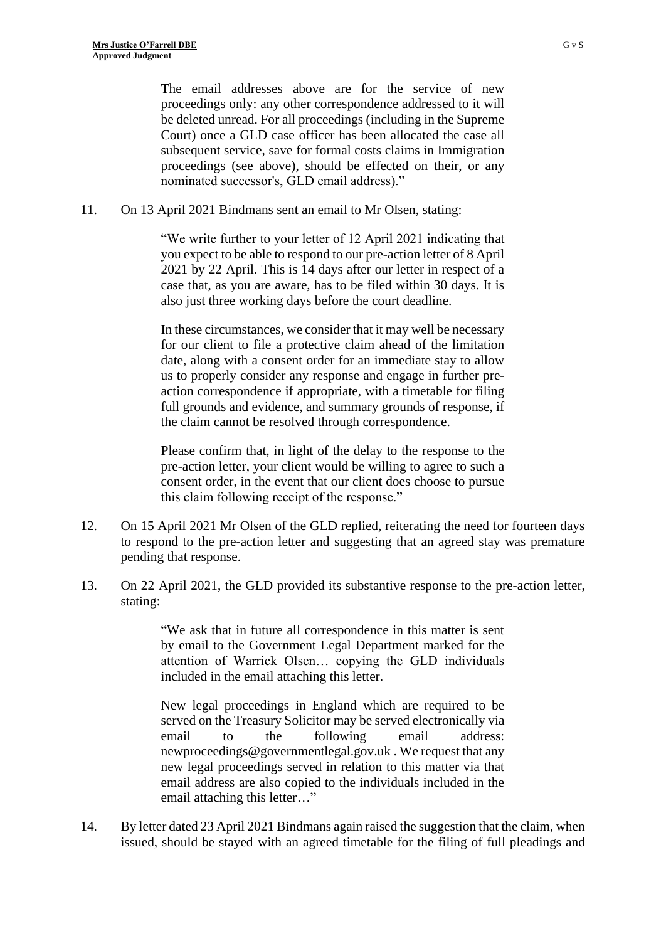The email addresses above are for the service of new proceedings only: any other correspondence addressed to it will be deleted unread. For all proceedings (including in the Supreme Court) once a GLD case officer has been allocated the case all subsequent service, save for formal costs claims in Immigration proceedings (see above), should be effected on their, or any nominated successor's, GLD email address)."

11. On 13 April 2021 Bindmans sent an email to Mr Olsen, stating:

"We write further to your letter of 12 April 2021 indicating that you expect to be able to respond to our pre-action letter of 8 April 2021 by 22 April. This is 14 days after our letter in respect of a case that, as you are aware, has to be filed within 30 days. It is also just three working days before the court deadline.

In these circumstances, we consider that it may well be necessary for our client to file a protective claim ahead of the limitation date, along with a consent order for an immediate stay to allow us to properly consider any response and engage in further preaction correspondence if appropriate, with a timetable for filing full grounds and evidence, and summary grounds of response, if the claim cannot be resolved through correspondence.

Please confirm that, in light of the delay to the response to the pre-action letter, your client would be willing to agree to such a consent order, in the event that our client does choose to pursue this claim following receipt of the response."

- 12. On 15 April 2021 Mr Olsen of the GLD replied, reiterating the need for fourteen days to respond to the pre-action letter and suggesting that an agreed stay was premature pending that response.
- 13. On 22 April 2021, the GLD provided its substantive response to the pre-action letter, stating:

"We ask that in future all correspondence in this matter is sent by email to the Government Legal Department marked for the attention of Warrick Olsen… copying the GLD individuals included in the email attaching this letter.

New legal proceedings in England which are required to be served on the Treasury Solicitor may be served electronically via email to the following email address: newproceedings@governmentlegal.gov.uk . We request that any new legal proceedings served in relation to this matter via that email address are also copied to the individuals included in the email attaching this letter…"

14. By letter dated 23 April 2021 Bindmans again raised the suggestion that the claim, when issued, should be stayed with an agreed timetable for the filing of full pleadings and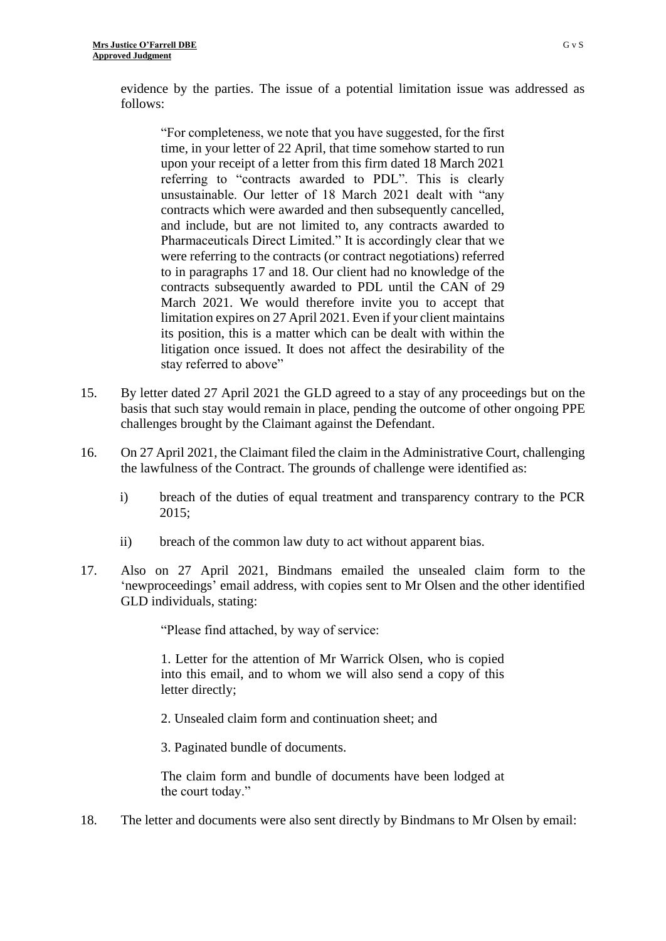evidence by the parties. The issue of a potential limitation issue was addressed as follows:

"For completeness, we note that you have suggested, for the first time, in your letter of 22 April, that time somehow started to run upon your receipt of a letter from this firm dated 18 March 2021 referring to "contracts awarded to PDL". This is clearly unsustainable. Our letter of 18 March 2021 dealt with "any contracts which were awarded and then subsequently cancelled, and include, but are not limited to, any contracts awarded to Pharmaceuticals Direct Limited." It is accordingly clear that we were referring to the contracts (or contract negotiations) referred to in paragraphs 17 and 18. Our client had no knowledge of the contracts subsequently awarded to PDL until the CAN of 29 March 2021. We would therefore invite you to accept that limitation expires on 27 April 2021. Even if your client maintains its position, this is a matter which can be dealt with within the litigation once issued. It does not affect the desirability of the stay referred to above"

- 15. By letter dated 27 April 2021 the GLD agreed to a stay of any proceedings but on the basis that such stay would remain in place, pending the outcome of other ongoing PPE challenges brought by the Claimant against the Defendant.
- 16. On 27 April 2021, the Claimant filed the claim in the Administrative Court, challenging the lawfulness of the Contract. The grounds of challenge were identified as:
	- i) breach of the duties of equal treatment and transparency contrary to the PCR 2015;
	- ii) breach of the common law duty to act without apparent bias.
- 17. Also on 27 April 2021, Bindmans emailed the unsealed claim form to the 'newproceedings' email address, with copies sent to Mr Olsen and the other identified GLD individuals, stating:

"Please find attached, by way of service:

1. Letter for the attention of Mr Warrick Olsen, who is copied into this email, and to whom we will also send a copy of this letter directly;

2. Unsealed claim form and continuation sheet; and

3. Paginated bundle of documents.

The claim form and bundle of documents have been lodged at the court today."

18. The letter and documents were also sent directly by Bindmans to Mr Olsen by email: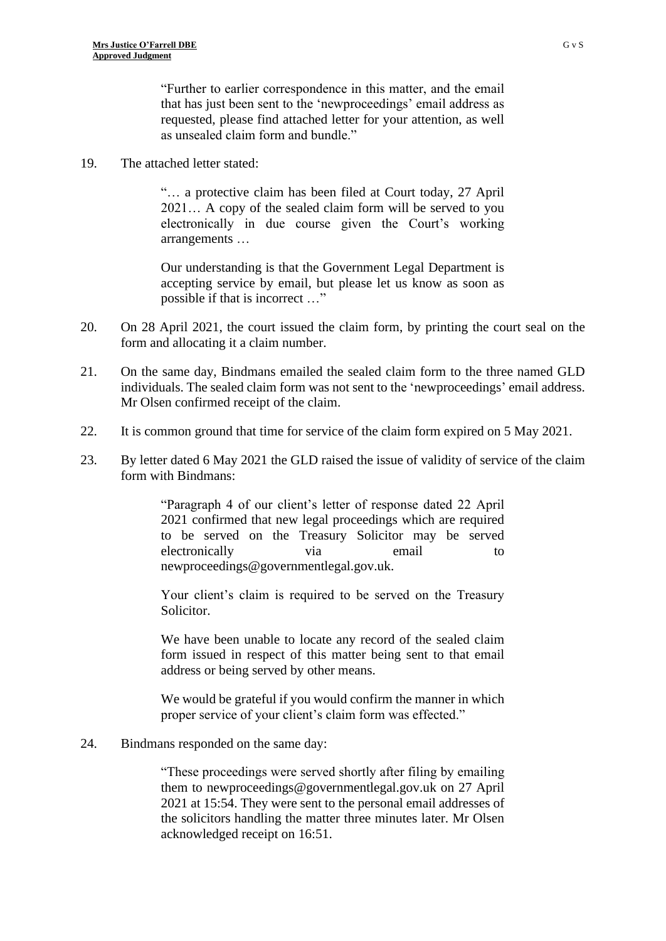"Further to earlier correspondence in this matter, and the email that has just been sent to the 'newproceedings' email address as requested, please find attached letter for your attention, as well as unsealed claim form and bundle."

19. The attached letter stated:

"… a protective claim has been filed at Court today, 27 April 2021… A copy of the sealed claim form will be served to you electronically in due course given the Court's working arrangements …

Our understanding is that the Government Legal Department is accepting service by email, but please let us know as soon as possible if that is incorrect …"

- 20. On 28 April 2021, the court issued the claim form, by printing the court seal on the form and allocating it a claim number.
- 21. On the same day, Bindmans emailed the sealed claim form to the three named GLD individuals. The sealed claim form was not sent to the 'newproceedings' email address. Mr Olsen confirmed receipt of the claim.
- 22. It is common ground that time for service of the claim form expired on 5 May 2021.
- 23. By letter dated 6 May 2021 the GLD raised the issue of validity of service of the claim form with Bindmans:

"Paragraph 4 of our client's letter of response dated 22 April 2021 confirmed that new legal proceedings which are required to be served on the Treasury Solicitor may be served electronically via email to newproceedings@governmentlegal.gov.uk.

Your client's claim is required to be served on the Treasury Solicitor.

We have been unable to locate any record of the sealed claim form issued in respect of this matter being sent to that email address or being served by other means.

We would be grateful if you would confirm the manner in which proper service of your client's claim form was effected."

24. Bindmans responded on the same day:

"These proceedings were served shortly after filing by emailing them to newproceedings@governmentlegal.gov.uk on 27 April 2021 at 15:54. They were sent to the personal email addresses of the solicitors handling the matter three minutes later. Mr Olsen acknowledged receipt on 16:51.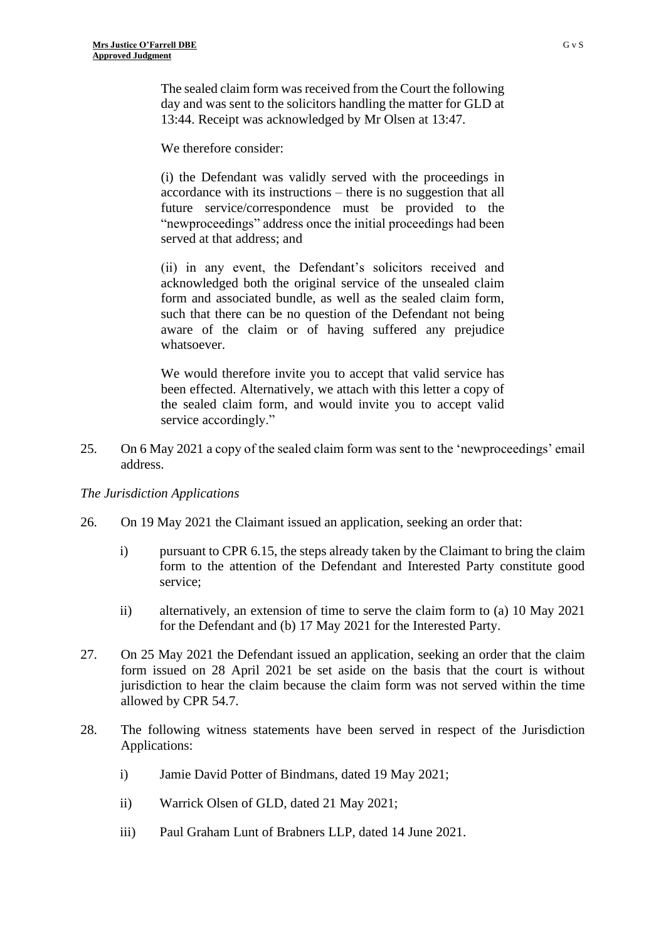The sealed claim form was received from the Court the following day and was sent to the solicitors handling the matter for GLD at 13:44. Receipt was acknowledged by Mr Olsen at 13:47.

We therefore consider:

(i) the Defendant was validly served with the proceedings in accordance with its instructions – there is no suggestion that all future service/correspondence must be provided to the "newproceedings" address once the initial proceedings had been served at that address; and

(ii) in any event, the Defendant's solicitors received and acknowledged both the original service of the unsealed claim form and associated bundle, as well as the sealed claim form, such that there can be no question of the Defendant not being aware of the claim or of having suffered any prejudice whatsoever.

We would therefore invite you to accept that valid service has been effected. Alternatively, we attach with this letter a copy of the sealed claim form, and would invite you to accept valid service accordingly."

25. On 6 May 2021 a copy of the sealed claim form was sent to the 'newproceedings' email address.

# *The Jurisdiction Applications*

- 26. On 19 May 2021 the Claimant issued an application, seeking an order that:
	- i) pursuant to CPR 6.15, the steps already taken by the Claimant to bring the claim form to the attention of the Defendant and Interested Party constitute good service;
	- ii) alternatively, an extension of time to serve the claim form to (a) 10 May 2021 for the Defendant and (b) 17 May 2021 for the Interested Party.
- 27. On 25 May 2021 the Defendant issued an application, seeking an order that the claim form issued on 28 April 2021 be set aside on the basis that the court is without jurisdiction to hear the claim because the claim form was not served within the time allowed by CPR 54.7.
- 28. The following witness statements have been served in respect of the Jurisdiction Applications:
	- i) Jamie David Potter of Bindmans, dated 19 May 2021;
	- ii) Warrick Olsen of GLD, dated 21 May 2021;
	- iii) Paul Graham Lunt of Brabners LLP, dated 14 June 2021.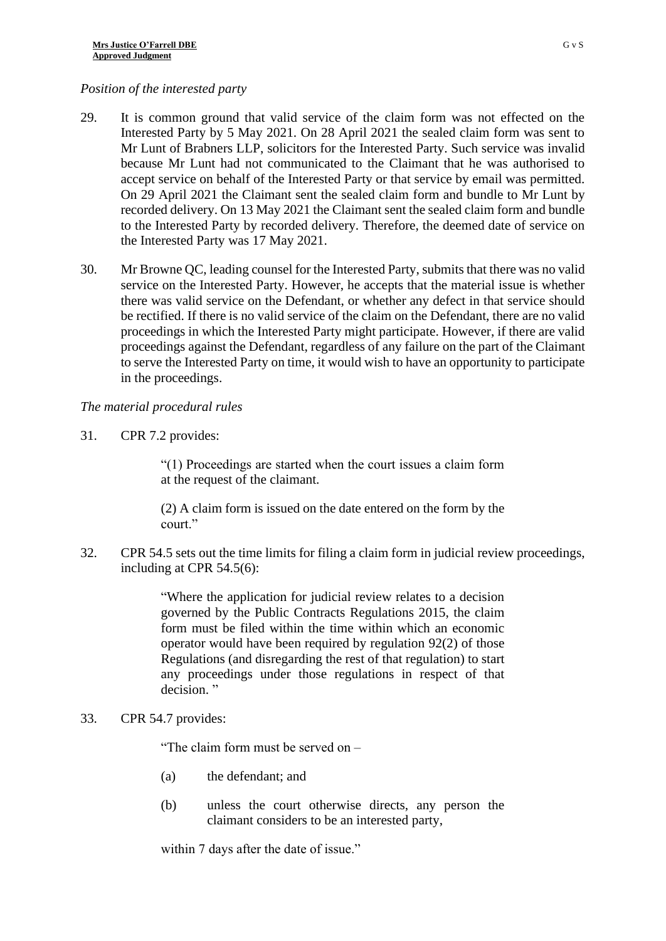# *Position of the interested party*

- 29. It is common ground that valid service of the claim form was not effected on the Interested Party by 5 May 2021. On 28 April 2021 the sealed claim form was sent to Mr Lunt of Brabners LLP, solicitors for the Interested Party. Such service was invalid because Mr Lunt had not communicated to the Claimant that he was authorised to accept service on behalf of the Interested Party or that service by email was permitted. On 29 April 2021 the Claimant sent the sealed claim form and bundle to Mr Lunt by recorded delivery. On 13 May 2021 the Claimant sent the sealed claim form and bundle to the Interested Party by recorded delivery. Therefore, the deemed date of service on the Interested Party was 17 May 2021.
- 30. Mr Browne QC, leading counsel for the Interested Party, submits that there was no valid service on the Interested Party. However, he accepts that the material issue is whether there was valid service on the Defendant, or whether any defect in that service should be rectified. If there is no valid service of the claim on the Defendant, there are no valid proceedings in which the Interested Party might participate. However, if there are valid proceedings against the Defendant, regardless of any failure on the part of the Claimant to serve the Interested Party on time, it would wish to have an opportunity to participate in the proceedings.

# *The material procedural rules*

31. CPR 7.2 provides:

"(1) Proceedings are started when the court issues a claim form at the request of the claimant.

(2) A claim form is issued on the date entered on the form by the court."

32. CPR 54.5 sets out the time limits for filing a claim form in judicial review proceedings, including at CPR 54.5(6):

> "Where the application for judicial review relates to a decision governed by the Public Contracts Regulations 2015, the claim form must be filed within the time within which an economic operator would have been required by regulation 92(2) of those Regulations (and disregarding the rest of that regulation) to start any proceedings under those regulations in respect of that decision."

# 33. CPR 54.7 provides:

"The claim form must be served on –

- (a) the defendant; and
- (b) unless the court otherwise directs, any person the claimant considers to be an interested party,

within 7 days after the date of issue."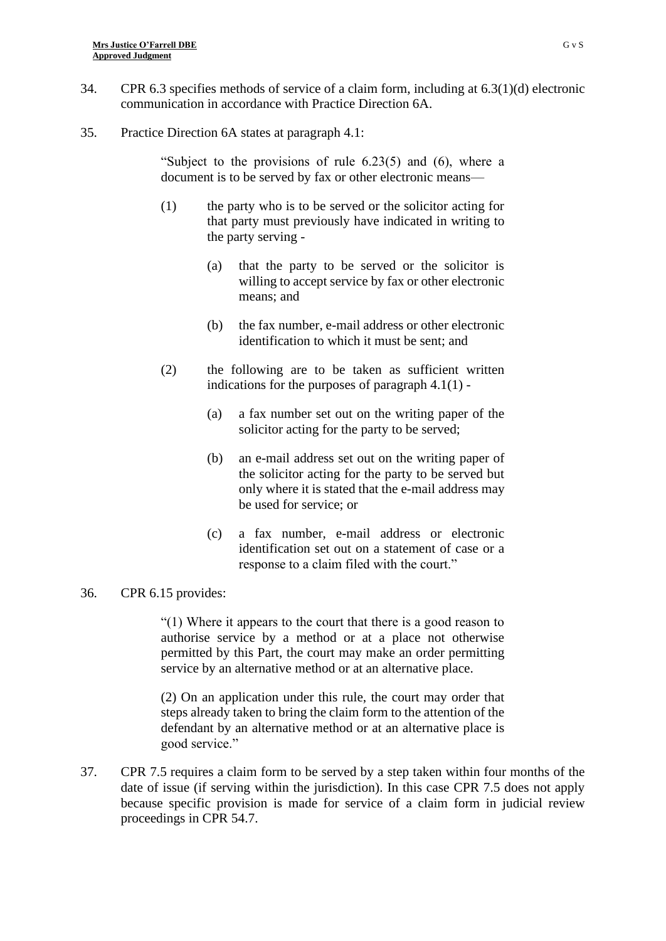- 34. CPR 6.3 specifies methods of service of a claim form, including at 6.3(1)(d) electronic communication in accordance with Practice Direction 6A.
- 35. Practice Direction 6A states at paragraph 4.1:

"Subject to the provisions of rule 6.23(5) and (6), where a document is to be served by fax or other electronic means—

- (1) the party who is to be served or the solicitor acting for that party must previously have indicated in writing to the party serving -
	- (a) that the party to be served or the solicitor is willing to accept service by fax or other electronic means; and
	- (b) the fax number, e-mail address or other electronic identification to which it must be sent; and
- (2) the following are to be taken as sufficient written indications for the purposes of paragraph  $4.1(1)$  -
	- (a) a fax number set out on the writing paper of the solicitor acting for the party to be served;
	- (b) an e-mail address set out on the writing paper of the solicitor acting for the party to be served but only where it is stated that the e-mail address may be used for service; or
	- (c) a fax number, e-mail address or electronic identification set out on a statement of case or a response to a claim filed with the court."

# 36. CPR 6.15 provides:

"(1) Where it appears to the court that there is a good reason to authorise service by a method or at a place not otherwise permitted by this Part, the court may make an order permitting service by an alternative method or at an alternative place.

(2) On an application under this rule, the court may order that steps already taken to bring the claim form to the attention of the defendant by an alternative method or at an alternative place is good service."

37. CPR 7.5 requires a claim form to be served by a step taken within four months of the date of issue (if serving within the jurisdiction). In this case CPR 7.5 does not apply because specific provision is made for service of a claim form in judicial review proceedings in CPR 54.7.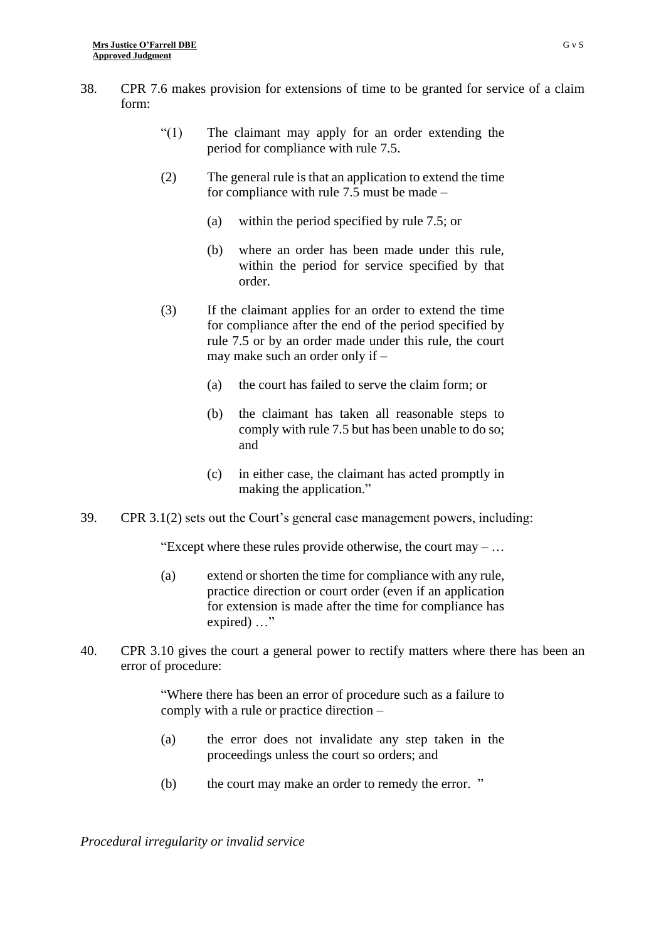- 38. CPR 7.6 makes provision for extensions of time to be granted for service of a claim form:
	- "(1) The claimant may apply for an order extending the period for compliance with rule 7.5.
	- (2) The general rule is that an application to extend the time for compliance with rule 7.5 must be made –
		- (a) within the period specified by rule 7.5; or
		- (b) where an order has been made under this rule, within the period for service specified by that order.
	- (3) If the claimant applies for an order to extend the time for compliance after the end of the period specified by rule 7.5 or by an order made under this rule, the court may make such an order only if –
		- (a) the court has failed to serve the claim form; or
		- (b) the claimant has taken all reasonable steps to comply with rule 7.5 but has been unable to do so; and
		- (c) in either case, the claimant has acted promptly in making the application."
- 39. CPR 3.1(2) sets out the Court's general case management powers, including:

"Except where these rules provide otherwise, the court may  $-\dots$ 

- (a) extend or shorten the time for compliance with any rule, practice direction or court order (even if an application for extension is made after the time for compliance has expired) ..."
- 40. CPR 3.10 gives the court a general power to rectify matters where there has been an error of procedure:

"Where there has been an error of procedure such as a failure to comply with a rule or practice direction –

- (a) the error does not invalidate any step taken in the proceedings unless the court so orders; and
- (b) the court may make an order to remedy the error. "

*Procedural irregularity or invalid service*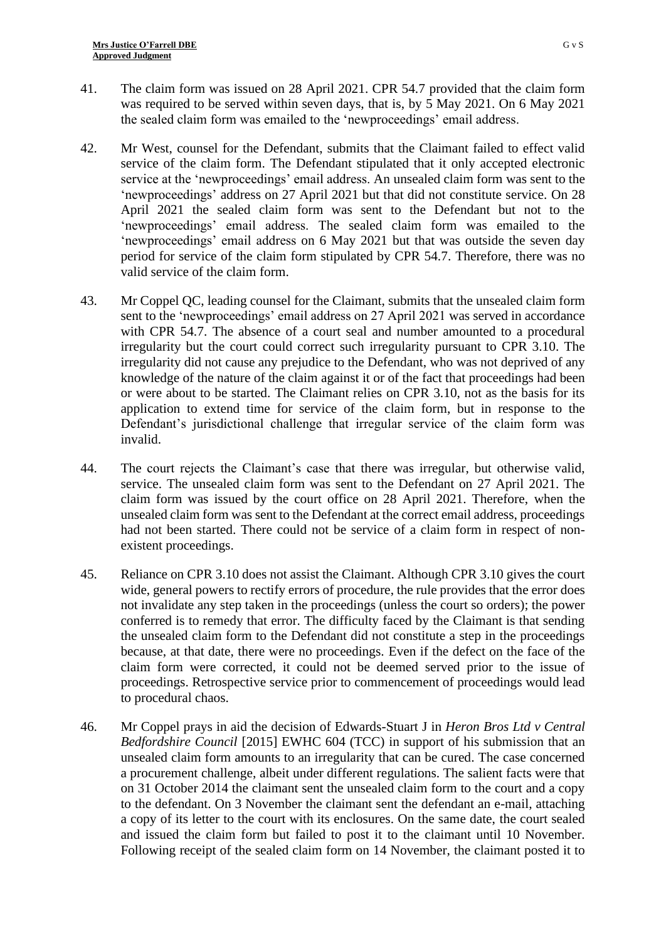- 41. The claim form was issued on 28 April 2021. CPR 54.7 provided that the claim form was required to be served within seven days, that is, by 5 May 2021. On 6 May 2021 the sealed claim form was emailed to the 'newproceedings' email address.
- 42. Mr West, counsel for the Defendant, submits that the Claimant failed to effect valid service of the claim form. The Defendant stipulated that it only accepted electronic service at the 'newproceedings' email address. An unsealed claim form was sent to the 'newproceedings' address on 27 April 2021 but that did not constitute service. On 28 April 2021 the sealed claim form was sent to the Defendant but not to the 'newproceedings' email address. The sealed claim form was emailed to the 'newproceedings' email address on 6 May 2021 but that was outside the seven day period for service of the claim form stipulated by CPR 54.7. Therefore, there was no valid service of the claim form.
- 43. Mr Coppel QC, leading counsel for the Claimant, submits that the unsealed claim form sent to the 'newproceedings' email address on 27 April 2021 was served in accordance with CPR 54.7. The absence of a court seal and number amounted to a procedural irregularity but the court could correct such irregularity pursuant to CPR 3.10. The irregularity did not cause any prejudice to the Defendant, who was not deprived of any knowledge of the nature of the claim against it or of the fact that proceedings had been or were about to be started. The Claimant relies on CPR 3.10, not as the basis for its application to extend time for service of the claim form, but in response to the Defendant's jurisdictional challenge that irregular service of the claim form was invalid.
- 44. The court rejects the Claimant's case that there was irregular, but otherwise valid, service. The unsealed claim form was sent to the Defendant on 27 April 2021. The claim form was issued by the court office on 28 April 2021. Therefore, when the unsealed claim form was sent to the Defendant at the correct email address, proceedings had not been started. There could not be service of a claim form in respect of nonexistent proceedings.
- 45. Reliance on CPR 3.10 does not assist the Claimant. Although CPR 3.10 gives the court wide, general powers to rectify errors of procedure, the rule provides that the error does not invalidate any step taken in the proceedings (unless the court so orders); the power conferred is to remedy that error. The difficulty faced by the Claimant is that sending the unsealed claim form to the Defendant did not constitute a step in the proceedings because, at that date, there were no proceedings. Even if the defect on the face of the claim form were corrected, it could not be deemed served prior to the issue of proceedings. Retrospective service prior to commencement of proceedings would lead to procedural chaos.
- 46. Mr Coppel prays in aid the decision of Edwards-Stuart J in *Heron Bros Ltd v Central Bedfordshire Council* [2015] EWHC 604 (TCC) in support of his submission that an unsealed claim form amounts to an irregularity that can be cured. The case concerned a procurement challenge, albeit under different regulations. The salient facts were that on 31 October 2014 the claimant sent the unsealed claim form to the court and a copy to the defendant. On 3 November the claimant sent the defendant an e-mail, attaching a copy of its letter to the court with its enclosures. On the same date, the court sealed and issued the claim form but failed to post it to the claimant until 10 November. Following receipt of the sealed claim form on 14 November, the claimant posted it to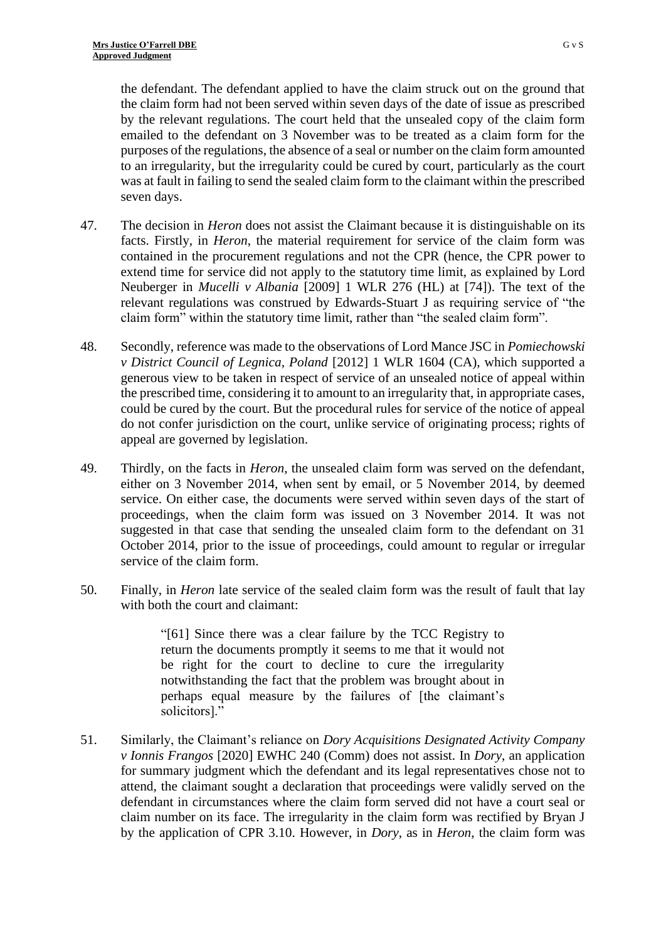the defendant. The defendant applied to have the claim struck out on the ground that the claim form had not been served within seven days of the date of issue as prescribed by the relevant regulations. The court held that the unsealed copy of the claim form emailed to the defendant on 3 November was to be treated as a claim form for the purposes of the regulations, the absence of a seal or number on the claim form amounted to an irregularity, but the irregularity could be cured by court, particularly as the court was at fault in failing to send the sealed claim form to the claimant within the prescribed seven days.

- 47. The decision in *Heron* does not assist the Claimant because it is distinguishable on its facts. Firstly, in *Heron*, the material requirement for service of the claim form was contained in the procurement regulations and not the CPR (hence, the CPR power to extend time for service did not apply to the statutory time limit, as explained by Lord Neuberger in *Mucelli v Albania* [2009] 1 WLR 276 (HL) at [74]). The text of the relevant regulations was construed by Edwards-Stuart J as requiring service of "the claim form" within the statutory time limit, rather than "the sealed claim form".
- 48. Secondly, reference was made to the observations of Lord Mance JSC in *Pomiechowski v District Council of Legnica, Poland* [2012] 1 WLR 1604 (CA), which supported a generous view to be taken in respect of service of an unsealed notice of appeal within the prescribed time, considering it to amount to an irregularity that, in appropriate cases, could be cured by the court. But the procedural rules for service of the notice of appeal do not confer jurisdiction on the court, unlike service of originating process; rights of appeal are governed by legislation.
- 49. Thirdly, on the facts in *Heron*, the unsealed claim form was served on the defendant, either on 3 November 2014, when sent by email, or 5 November 2014, by deemed service. On either case, the documents were served within seven days of the start of proceedings, when the claim form was issued on 3 November 2014. It was not suggested in that case that sending the unsealed claim form to the defendant on 31 October 2014, prior to the issue of proceedings, could amount to regular or irregular service of the claim form.
- 50. Finally, in *Heron* late service of the sealed claim form was the result of fault that lay with both the court and claimant:

"[61] Since there was a clear failure by the TCC Registry to return the documents promptly it seems to me that it would not be right for the court to decline to cure the irregularity notwithstanding the fact that the problem was brought about in perhaps equal measure by the failures of [the claimant's solicitors]."

51. Similarly, the Claimant's reliance on *Dory Acquisitions Designated Activity Company v Ionnis Frangos* [2020] EWHC 240 (Comm) does not assist. In *Dory*, an application for summary judgment which the defendant and its legal representatives chose not to attend, the claimant sought a declaration that proceedings were validly served on the defendant in circumstances where the claim form served did not have a court seal or claim number on its face. The irregularity in the claim form was rectified by Bryan J by the application of CPR 3.10. However, in *Dory*, as in *Heron*, the claim form was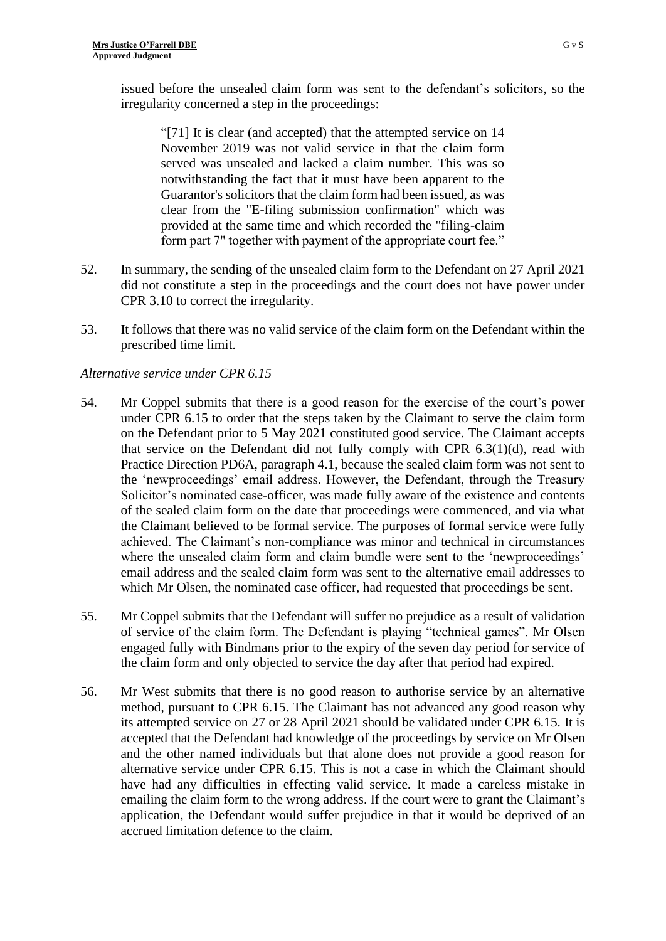issued before the unsealed claim form was sent to the defendant's solicitors, so the irregularity concerned a step in the proceedings:

"[71] It is clear (and accepted) that the attempted service on 14 November 2019 was not valid service in that the claim form served was unsealed and lacked a claim number. This was so notwithstanding the fact that it must have been apparent to the Guarantor's solicitors that the claim form had been issued, as was clear from the "E-filing submission confirmation" which was provided at the same time and which recorded the "filing-claim form part 7" together with payment of the appropriate court fee."

- 52. In summary, the sending of the unsealed claim form to the Defendant on 27 April 2021 did not constitute a step in the proceedings and the court does not have power under CPR 3.10 to correct the irregularity.
- 53. It follows that there was no valid service of the claim form on the Defendant within the prescribed time limit.

# *Alternative service under CPR 6.15*

- 54. Mr Coppel submits that there is a good reason for the exercise of the court's power under CPR 6.15 to order that the steps taken by the Claimant to serve the claim form on the Defendant prior to 5 May 2021 constituted good service. The Claimant accepts that service on the Defendant did not fully comply with CPR  $6.3(1)(d)$ , read with Practice Direction PD6A, paragraph 4.1, because the sealed claim form was not sent to the 'newproceedings' email address. However, the Defendant, through the Treasury Solicitor's nominated case-officer, was made fully aware of the existence and contents of the sealed claim form on the date that proceedings were commenced, and via what the Claimant believed to be formal service. The purposes of formal service were fully achieved. The Claimant's non-compliance was minor and technical in circumstances where the unsealed claim form and claim bundle were sent to the 'newproceedings' email address and the sealed claim form was sent to the alternative email addresses to which Mr Olsen, the nominated case officer, had requested that proceedings be sent.
- 55. Mr Coppel submits that the Defendant will suffer no prejudice as a result of validation of service of the claim form. The Defendant is playing "technical games". Mr Olsen engaged fully with Bindmans prior to the expiry of the seven day period for service of the claim form and only objected to service the day after that period had expired.
- 56. Mr West submits that there is no good reason to authorise service by an alternative method, pursuant to CPR 6.15. The Claimant has not advanced any good reason why its attempted service on 27 or 28 April 2021 should be validated under CPR 6.15. It is accepted that the Defendant had knowledge of the proceedings by service on Mr Olsen and the other named individuals but that alone does not provide a good reason for alternative service under CPR 6.15. This is not a case in which the Claimant should have had any difficulties in effecting valid service. It made a careless mistake in emailing the claim form to the wrong address. If the court were to grant the Claimant's application, the Defendant would suffer prejudice in that it would be deprived of an accrued limitation defence to the claim.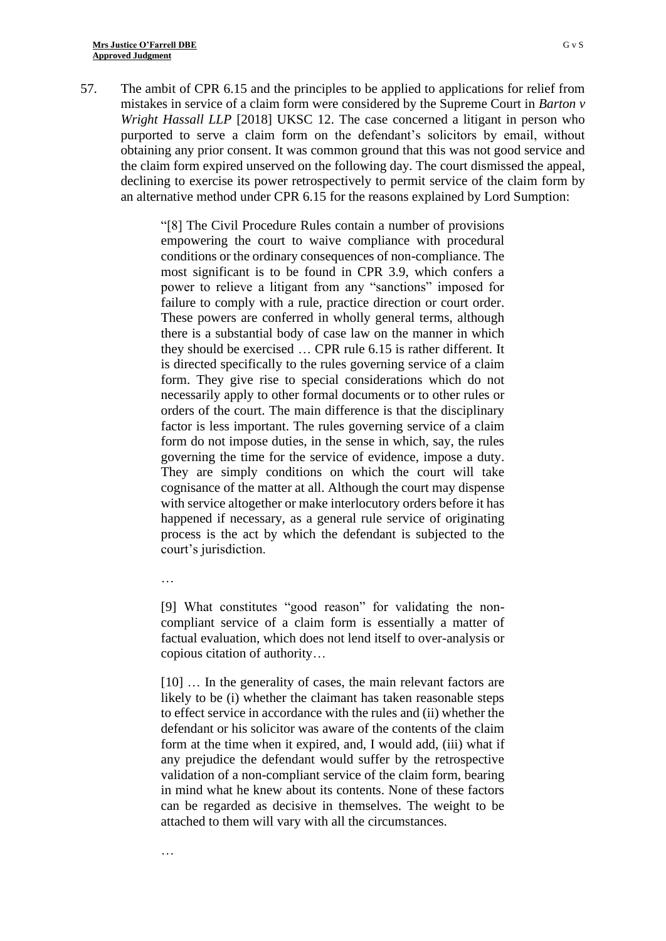57. The ambit of CPR 6.15 and the principles to be applied to applications for relief from mistakes in service of a claim form were considered by the Supreme Court in *Barton v Wright Hassall LLP* [2018] UKSC 12. The case concerned a litigant in person who purported to serve a claim form on the defendant's solicitors by email, without obtaining any prior consent. It was common ground that this was not good service and the claim form expired unserved on the following day. The court dismissed the appeal, declining to exercise its power retrospectively to permit service of the claim form by an alternative method under CPR 6.15 for the reasons explained by Lord Sumption:

> "[8] The Civil Procedure Rules contain a number of provisions empowering the court to waive compliance with procedural conditions or the ordinary consequences of non-compliance. The most significant is to be found in CPR 3.9, which confers a power to relieve a litigant from any "sanctions" imposed for failure to comply with a rule, practice direction or court order. These powers are conferred in wholly general terms, although there is a substantial body of case law on the manner in which they should be exercised … CPR rule 6.15 is rather different. It is directed specifically to the rules governing service of a claim form. They give rise to special considerations which do not necessarily apply to other formal documents or to other rules or orders of the court. The main difference is that the disciplinary factor is less important. The rules governing service of a claim form do not impose duties, in the sense in which, say, the rules governing the time for the service of evidence, impose a duty. They are simply conditions on which the court will take cognisance of the matter at all. Although the court may dispense with service altogether or make interlocutory orders before it has happened if necessary, as a general rule service of originating process is the act by which the defendant is subjected to the court's jurisdiction.

…

…

[9] What constitutes "good reason" for validating the noncompliant service of a claim form is essentially a matter of factual evaluation, which does not lend itself to over-analysis or copious citation of authority…

[10] … In the generality of cases, the main relevant factors are likely to be (i) whether the claimant has taken reasonable steps to effect service in accordance with the rules and (ii) whether the defendant or his solicitor was aware of the contents of the claim form at the time when it expired, and, I would add, (iii) what if any prejudice the defendant would suffer by the retrospective validation of a non-compliant service of the claim form, bearing in mind what he knew about its contents. None of these factors can be regarded as decisive in themselves. The weight to be attached to them will vary with all the circumstances.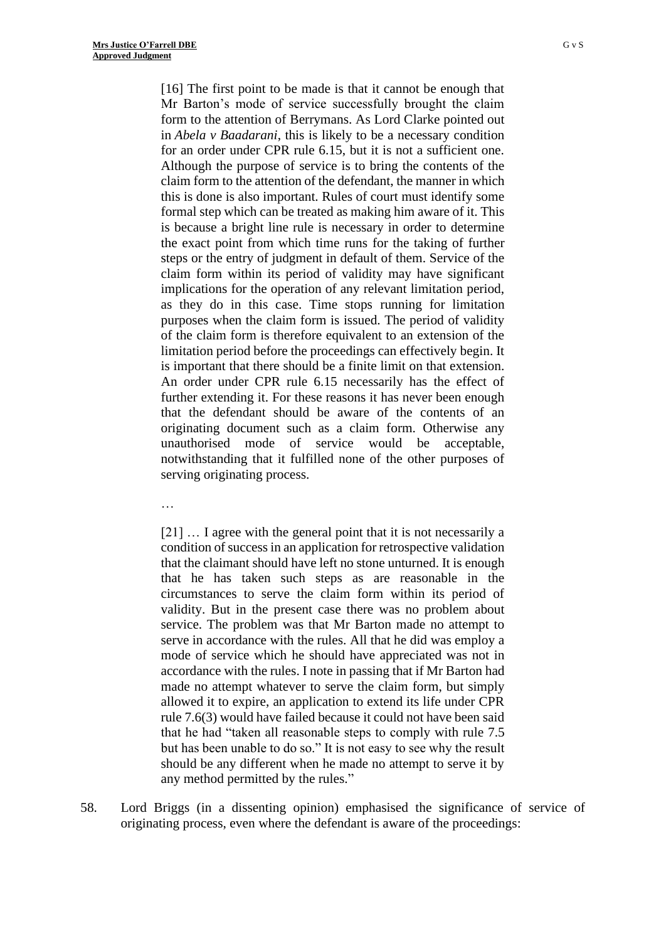[16] The first point to be made is that it cannot be enough that Mr Barton's mode of service successfully brought the claim form to the attention of Berrymans. As Lord Clarke pointed out in *Abela v Baadarani*, this is likely to be a necessary condition for an order under CPR rule 6.15, but it is not a sufficient one. Although the purpose of service is to bring the contents of the claim form to the attention of the defendant, the manner in which this is done is also important. Rules of court must identify some formal step which can be treated as making him aware of it. This is because a bright line rule is necessary in order to determine the exact point from which time runs for the taking of further steps or the entry of judgment in default of them. Service of the claim form within its period of validity may have significant implications for the operation of any relevant limitation period, as they do in this case. Time stops running for limitation purposes when the claim form is issued. The period of validity of the claim form is therefore equivalent to an extension of the limitation period before the proceedings can effectively begin. It is important that there should be a finite limit on that extension. An order under CPR rule 6.15 necessarily has the effect of further extending it. For these reasons it has never been enough that the defendant should be aware of the contents of an originating document such as a claim form. Otherwise any unauthorised mode of service would be acceptable, notwithstanding that it fulfilled none of the other purposes of serving originating process.

…

[21] ... I agree with the general point that it is not necessarily a condition of success in an application for retrospective validation that the claimant should have left no stone unturned. It is enough that he has taken such steps as are reasonable in the circumstances to serve the claim form within its period of validity. But in the present case there was no problem about service. The problem was that Mr Barton made no attempt to serve in accordance with the rules. All that he did was employ a mode of service which he should have appreciated was not in accordance with the rules. I note in passing that if Mr Barton had made no attempt whatever to serve the claim form, but simply allowed it to expire, an application to extend its life under CPR rule 7.6(3) would have failed because it could not have been said that he had "taken all reasonable steps to comply with rule 7.5 but has been unable to do so." It is not easy to see why the result should be any different when he made no attempt to serve it by any method permitted by the rules."

58. Lord Briggs (in a dissenting opinion) emphasised the significance of service of originating process, even where the defendant is aware of the proceedings: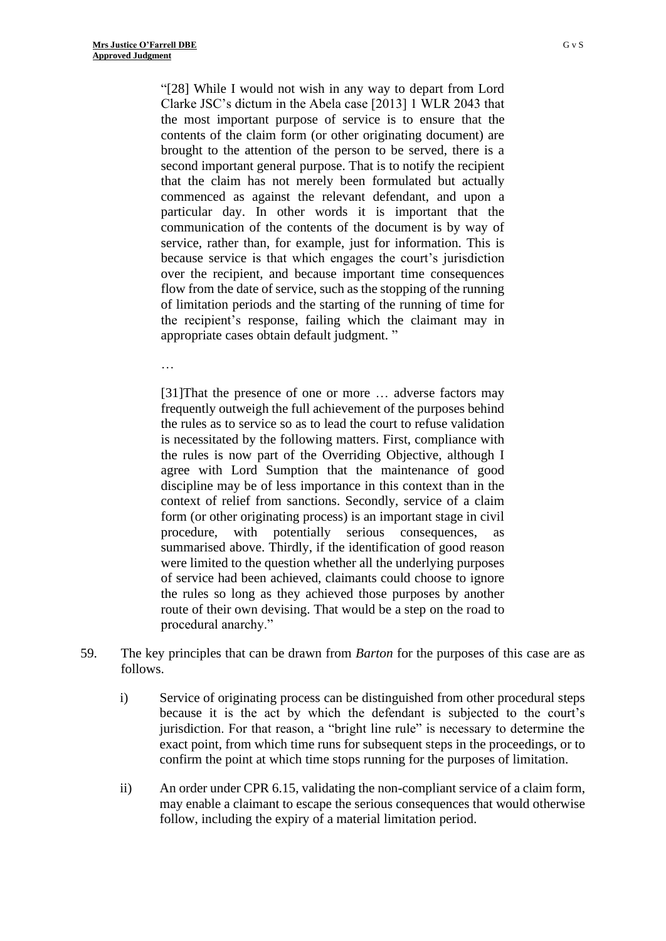"[28] While I would not wish in any way to depart from Lord Clarke JSC's dictum in the Abela case [2013] 1 WLR 2043 that the most important purpose of service is to ensure that the contents of the claim form (or other originating document) are brought to the attention of the person to be served, there is a second important general purpose. That is to notify the recipient that the claim has not merely been formulated but actually commenced as against the relevant defendant, and upon a particular day. In other words it is important that the communication of the contents of the document is by way of service, rather than, for example, just for information. This is because service is that which engages the court's jurisdiction over the recipient, and because important time consequences flow from the date of service, such as the stopping of the running of limitation periods and the starting of the running of time for the recipient's response, failing which the claimant may in appropriate cases obtain default judgment. "

…

[31]That the presence of one or more … adverse factors may frequently outweigh the full achievement of the purposes behind the rules as to service so as to lead the court to refuse validation is necessitated by the following matters. First, compliance with the rules is now part of the Overriding Objective, although I agree with Lord Sumption that the maintenance of good discipline may be of less importance in this context than in the context of relief from sanctions. Secondly, service of a claim form (or other originating process) is an important stage in civil procedure, with potentially serious consequences, as summarised above. Thirdly, if the identification of good reason were limited to the question whether all the underlying purposes of service had been achieved, claimants could choose to ignore the rules so long as they achieved those purposes by another route of their own devising. That would be a step on the road to procedural anarchy."

- 59. The key principles that can be drawn from *Barton* for the purposes of this case are as follows.
	- i) Service of originating process can be distinguished from other procedural steps because it is the act by which the defendant is subjected to the court's jurisdiction. For that reason, a "bright line rule" is necessary to determine the exact point, from which time runs for subsequent steps in the proceedings, or to confirm the point at which time stops running for the purposes of limitation.
	- ii) An order under CPR 6.15, validating the non-compliant service of a claim form, may enable a claimant to escape the serious consequences that would otherwise follow, including the expiry of a material limitation period.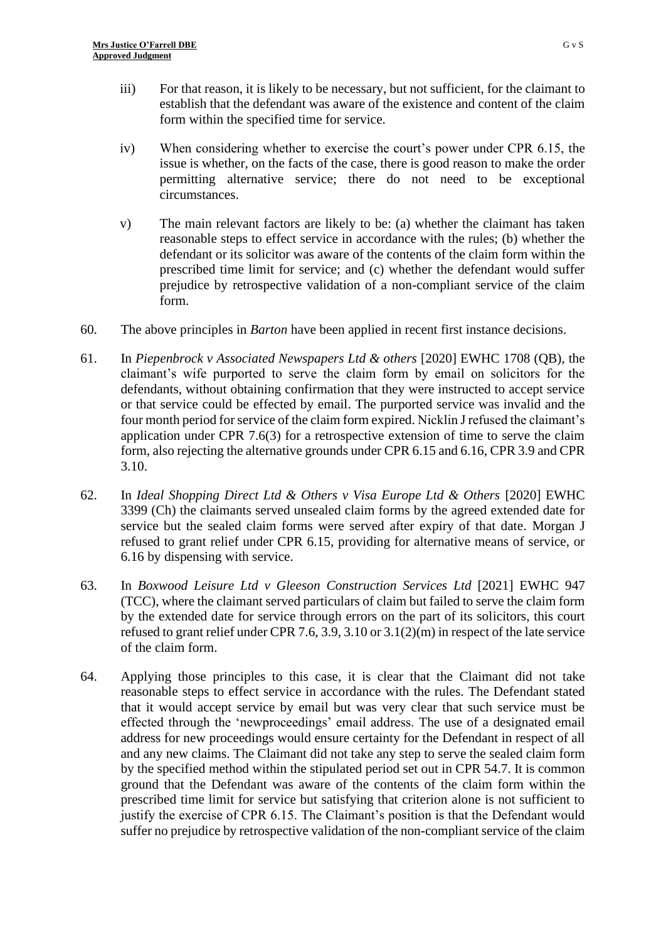- iii) For that reason, it is likely to be necessary, but not sufficient, for the claimant to establish that the defendant was aware of the existence and content of the claim form within the specified time for service.
- iv) When considering whether to exercise the court's power under CPR 6.15, the issue is whether, on the facts of the case, there is good reason to make the order permitting alternative service; there do not need to be exceptional circumstances.
- v) The main relevant factors are likely to be: (a) whether the claimant has taken reasonable steps to effect service in accordance with the rules; (b) whether the defendant or its solicitor was aware of the contents of the claim form within the prescribed time limit for service; and (c) whether the defendant would suffer prejudice by retrospective validation of a non-compliant service of the claim form.
- 60. The above principles in *Barton* have been applied in recent first instance decisions.
- 61. In *Piepenbrock v Associated Newspapers Ltd & others* [2020] EWHC 1708 (QB), the claimant's wife purported to serve the claim form by email on solicitors for the defendants, without obtaining confirmation that they were instructed to accept service or that service could be effected by email. The purported service was invalid and the four month period for service of the claim form expired. Nicklin J refused the claimant's application under CPR 7.6(3) for a retrospective extension of time to serve the claim form, also rejecting the alternative grounds under CPR 6.15 and 6.16, CPR 3.9 and CPR 3.10.
- 62. In *Ideal Shopping Direct Ltd & Others v Visa Europe Ltd & Others* [2020] EWHC 3399 (Ch) the claimants served unsealed claim forms by the agreed extended date for service but the sealed claim forms were served after expiry of that date. Morgan J refused to grant relief under CPR 6.15, providing for alternative means of service, or 6.16 by dispensing with service.
- 63. In *Boxwood Leisure Ltd v Gleeson Construction Services Ltd* [2021] EWHC 947 (TCC), where the claimant served particulars of claim but failed to serve the claim form by the extended date for service through errors on the part of its solicitors, this court refused to grant relief under CPR 7.6, 3.9, 3.10 or 3.1(2)(m) in respect of the late service of the claim form.
- 64. Applying those principles to this case, it is clear that the Claimant did not take reasonable steps to effect service in accordance with the rules. The Defendant stated that it would accept service by email but was very clear that such service must be effected through the 'newproceedings' email address. The use of a designated email address for new proceedings would ensure certainty for the Defendant in respect of all and any new claims. The Claimant did not take any step to serve the sealed claim form by the specified method within the stipulated period set out in CPR 54.7. It is common ground that the Defendant was aware of the contents of the claim form within the prescribed time limit for service but satisfying that criterion alone is not sufficient to justify the exercise of CPR 6.15. The Claimant's position is that the Defendant would suffer no prejudice by retrospective validation of the non-compliant service of the claim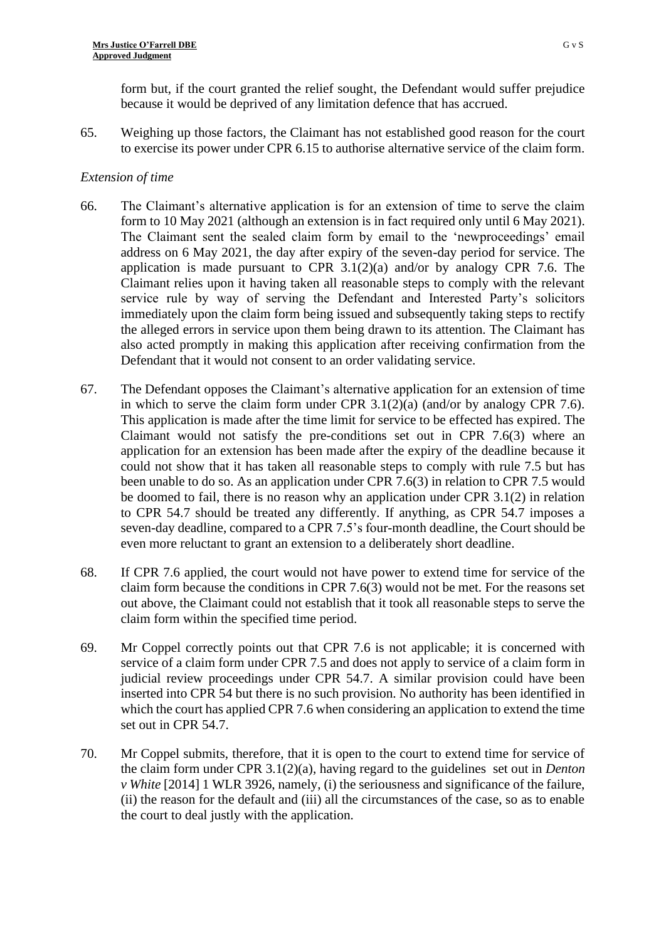form but, if the court granted the relief sought, the Defendant would suffer prejudice because it would be deprived of any limitation defence that has accrued.

65. Weighing up those factors, the Claimant has not established good reason for the court to exercise its power under CPR 6.15 to authorise alternative service of the claim form.

#### *Extension of time*

- 66. The Claimant's alternative application is for an extension of time to serve the claim form to 10 May 2021 (although an extension is in fact required only until 6 May 2021). The Claimant sent the sealed claim form by email to the 'newproceedings' email address on 6 May 2021, the day after expiry of the seven-day period for service. The application is made pursuant to CPR  $3.1(2)(a)$  and/or by analogy CPR 7.6. The Claimant relies upon it having taken all reasonable steps to comply with the relevant service rule by way of serving the Defendant and Interested Party's solicitors immediately upon the claim form being issued and subsequently taking steps to rectify the alleged errors in service upon them being drawn to its attention. The Claimant has also acted promptly in making this application after receiving confirmation from the Defendant that it would not consent to an order validating service.
- 67. The Defendant opposes the Claimant's alternative application for an extension of time in which to serve the claim form under CPR  $3.1(2)(a)$  (and/or by analogy CPR 7.6). This application is made after the time limit for service to be effected has expired. The Claimant would not satisfy the pre-conditions set out in CPR 7.6(3) where an application for an extension has been made after the expiry of the deadline because it could not show that it has taken all reasonable steps to comply with rule 7.5 but has been unable to do so. As an application under CPR 7.6(3) in relation to CPR 7.5 would be doomed to fail, there is no reason why an application under CPR 3.1(2) in relation to CPR 54.7 should be treated any differently. If anything, as CPR 54.7 imposes a seven-day deadline, compared to a CPR 7.5's four-month deadline, the Court should be even more reluctant to grant an extension to a deliberately short deadline.
- 68. If CPR 7.6 applied, the court would not have power to extend time for service of the claim form because the conditions in CPR 7.6(3) would not be met. For the reasons set out above, the Claimant could not establish that it took all reasonable steps to serve the claim form within the specified time period.
- 69. Mr Coppel correctly points out that CPR 7.6 is not applicable; it is concerned with service of a claim form under CPR 7.5 and does not apply to service of a claim form in judicial review proceedings under CPR 54.7. A similar provision could have been inserted into CPR 54 but there is no such provision. No authority has been identified in which the court has applied CPR 7.6 when considering an application to extend the time set out in CPR 54.7.
- 70. Mr Coppel submits, therefore, that it is open to the court to extend time for service of the claim form under CPR 3.1(2)(a), having regard to the guidelines set out in *Denton v White* [2014] 1 WLR 3926, namely, (i) the seriousness and significance of the failure, (ii) the reason for the default and (iii) all the circumstances of the case, so as to enable the court to deal justly with the application.